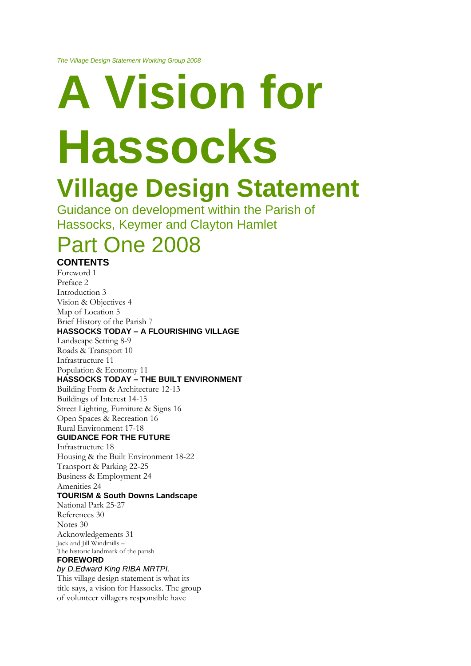# **A Vision for Hassocks Village Design Statement**

Guidance on development within the Parish of Hassocks, Keymer and Clayton Hamlet

## Part One 2008

#### **CONTENTS**

Foreword 1 Preface 2 Introduction 3 Vision & Objectives 4 Map of Location 5 Brief History of the Parish 7 **HASSOCKS TODAY – A FLOURISHING VILLAGE** Landscape Setting 8-9 Roads & Transport 10 Infrastructure 11 Population & Economy 11 **HASSOCKS TODAY – THE BUILT ENVIRONMENT** Building Form & Architecture 12-13 Buildings of Interest 14-15 Street Lighting, Furniture & Signs 16 Open Spaces & Recreation 16 Rural Environment 17-18 **GUIDANCE FOR THE FUTURE** Infrastructure 18 Housing & the Built Environment 18-22 Transport & Parking 22-25 Business & Employment 24 Amenities 24 **TOURISM & South Downs Landscape** National Park 25-27 References 30 Notes 30 Acknowledgements 31 Jack and Jill Windmills – The historic landmark of the parish **FOREWORD** *by D.Edward King RIBA MRTPI.* This village design statement is what its title says, a vision for Hassocks. The group

of volunteer villagers responsible have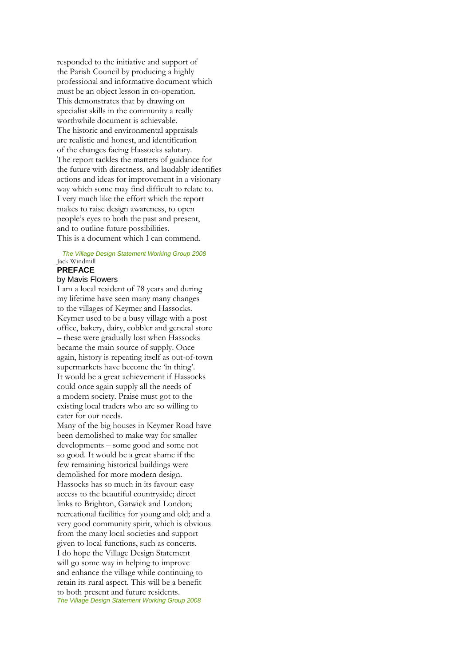responded to the initiative and support of the Parish Council by producing a highly professional and informative document which must be an object lesson in co-operation. This demonstrates that by drawing on specialist skills in the community a really worthwhile document is achievable. The historic and environmental appraisals are realistic and honest, and identification of the changes facing Hassocks salutary. The report tackles the matters of guidance for the future with directness, and laudably identifies actions and ideas for improvement in a visionary way which some may find difficult to relate to. I very much like the effort which the report makes to raise design awareness, to open people's eyes to both the past and present, and to outline future possibilities. This is a document which I can commend.

#### 2 *The Village Design Statement Working Group 2008* Jack Windmill **PREFACE**

#### by Mavis Flowers

I am a local resident of 78 years and during my lifetime have seen many many changes to the villages of Keymer and Hassocks. Keymer used to be a busy village with a post office, bakery, dairy, cobbler and general store – these were gradually lost when Hassocks became the main source of supply. Once again, history is repeating itself as out-of-town supermarkets have become the 'in thing'. It would be a great achievement if Hassocks could once again supply all the needs of a modern society. Praise must got to the existing local traders who are so willing to cater for our needs.

Many of the big houses in Keymer Road have been demolished to make way for smaller developments – some good and some not so good. It would be a great shame if the few remaining historical buildings were demolished for more modern design. Hassocks has so much in its favour: easy access to the beautiful countryside; direct links to Brighton, Gatwick and London; recreational facilities for young and old; and a very good community spirit, which is obvious from the many local societies and support given to local functions, such as concerts. I do hope the Village Design Statement will go some way in helping to improve and enhance the village while continuing to retain its rural aspect. This will be a benefit to both present and future residents. **The Village Design Statement Working Group 2008**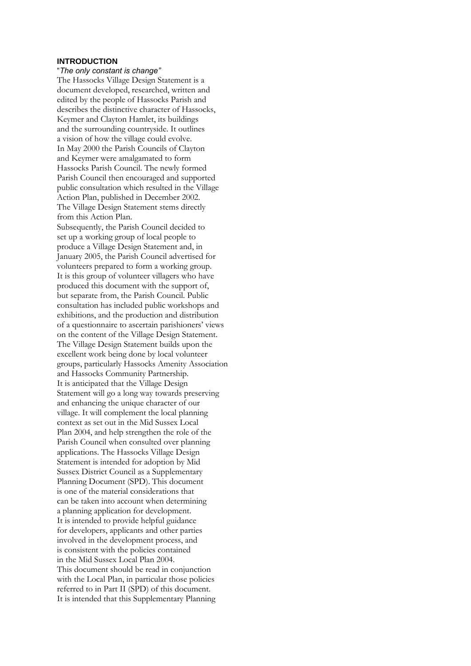#### **INTRODUCTION**

#### "*The only constant is change"*

The Hassocks Village Design Statement is a document developed, researched, written and edited by the people of Hassocks Parish and describes the distinctive character of Hassocks, Keymer and Clayton Hamlet, its buildings and the surrounding countryside. It outlines a vision of how the village could evolve. In May 2000 the Parish Councils of Clayton and Keymer were amalgamated to form Hassocks Parish Council. The newly formed Parish Council then encouraged and supported public consultation which resulted in the Village Action Plan, published in December 2002. The Village Design Statement stems directly from this Action Plan.

Subsequently, the Parish Council decided to set up a working group of local people to produce a Village Design Statement and, in January 2005, the Parish Council advertised for volunteers prepared to form a working group. It is this group of volunteer villagers who have produced this document with the support of, but separate from, the Parish Council. Public consultation has included public workshops and exhibitions, and the production and distribution of a questionnaire to ascertain parishioners' views on the content of the Village Design Statement. The Village Design Statement builds upon the excellent work being done by local volunteer groups, particularly Hassocks Amenity Association and Hassocks Community Partnership. It is anticipated that the Village Design Statement will go a long way towards preserving and enhancing the unique character of our village. It will complement the local planning context as set out in the Mid Sussex Local Plan 2004, and help strengthen the role of the Parish Council when consulted over planning applications. The Hassocks Village Design Statement is intended for adoption by Mid Sussex District Council as a Supplementary Planning Document (SPD). This document is one of the material considerations that can be taken into account when determining a planning application for development. It is intended to provide helpful guidance for developers, applicants and other parties involved in the development process, and is consistent with the policies contained in the Mid Sussex Local Plan 2004. This document should be read in conjunction with the Local Plan, in particular those policies referred to in Part II (SPD) of this document. It is intended that this Supplementary Planning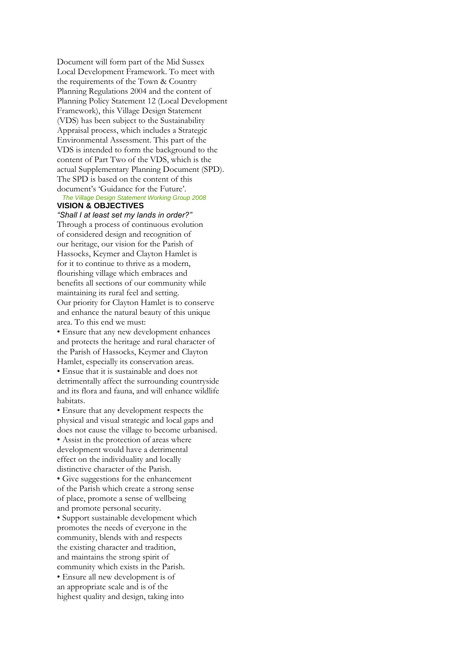Document will form part of the Mid Sussex Local Development Framework. To meet with the requirements of the Town & Country Planning Regulations 2004 and the content of Planning Policy Statement 12 (Local Development Framework), this Village Design Statement (VDS) has been subject to the Sustainability Appraisal process, which includes a Strategic Environmental Assessment. This part of the VDS is intended to form the background to the content of Part Two of the VDS, which is the actual Supplementary Planning Document (SPD). The SPD is based on the content of this document's 'Guidance for the Future'. 4 *The Village Design Statement Working Group 2008*

#### **VISION & OBJECTIVES** *"Shall I at least set my lands in order?"*

Through a process of continuous evolution of considered design and recognition of our heritage, our vision for the Parish of Hassocks, Keymer and Clayton Hamlet is for it to continue to thrive as a modern, flourishing village which embraces and benefits all sections of our community while maintaining its rural feel and setting. Our priority for Clayton Hamlet is to conserve and enhance the natural beauty of this unique area. To this end we must:

• Ensure that any new development enhances and protects the heritage and rural character of the Parish of Hassocks, Keymer and Clayton Hamlet, especially its conservation areas. • Ensue that it is sustainable and does not detrimentally affect the surrounding countryside and its flora and fauna, and will enhance wildlife habitats.

• Ensure that any development respects the physical and visual strategic and local gaps and does not cause the village to become urbanised. • Assist in the protection of areas where development would have a detrimental effect on the individuality and locally distinctive character of the Parish. • Give suggestions for the enhancement of the Parish which create a strong sense of place, promote a sense of wellbeing and promote personal security. • Support sustainable development which promotes the needs of everyone in the community, blends with and respects the existing character and tradition, and maintains the strong spirit of community which exists in the Parish. • Ensure all new development is of an appropriate scale and is of the highest quality and design, taking into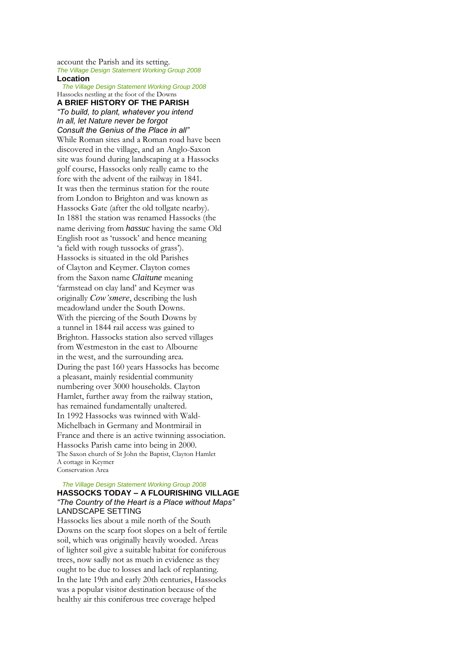account the Parish and its setting. *The Village Design Statement Working Group 2008* 5 **Location**

6 *The Village Design Statement Working Group 2008*

Hassocks nestling at the foot of the Downs **A BRIEF HISTORY OF THE PARISH** *"To build, to plant, whatever you intend In all, let Nature never be forgot*

*Consult the Genius of the Place in all"* While Roman sites and a Roman road have been discovered in the village, and an Anglo-Saxon site was found during landscaping at a Hassocks golf course, Hassocks only really came to the fore with the advent of the railway in 1841. It was then the terminus station for the route from London to Brighton and was known as Hassocks Gate (after the old tollgate nearby). In 1881 the station was renamed Hassocks (the name deriving from *hassuc* having the same Old English root as 'tussock' and hence meaning 'a field with rough tussocks of grass'). Hassocks is situated in the old Parishes of Clayton and Keymer. Clayton comes from the Saxon name *Claitune* meaning 'farmstead on clay land' and Keymer was originally *Cow'smere*, describing the lush meadowland under the South Downs. With the piercing of the South Downs by a tunnel in 1844 rail access was gained to Brighton. Hassocks station also served villages from Westmeston in the east to Albourne in the west, and the surrounding area. During the past 160 years Hassocks has become a pleasant, mainly residential community numbering over 3000 households. Clayton Hamlet, further away from the railway station, has remained fundamentally unaltered. In 1992 Hassocks was twinned with Wald-Michelbach in Germany and Montmirail in France and there is an active twinning association. Hassocks Parish came into being in 2000. The Saxon church of St John the Baptist, Clayton Hamlet A cottage in Keymer Conservation Area

#### 8 *The Village Design Statement Working Group 2008* **HASSOCKS TODAY – A FLOURISHING VILLAGE** *"The Country of the Heart is a Place without Maps"* LANDSCAPE SETTING

Hassocks lies about a mile north of the South Downs on the scarp foot slopes on a belt of fertile soil, which was originally heavily wooded. Areas of lighter soil give a suitable habitat for coniferous trees, now sadly not as much in evidence as they ought to be due to losses and lack of replanting. In the late 19th and early 20th centuries, Hassocks was a popular visitor destination because of the healthy air this coniferous tree coverage helped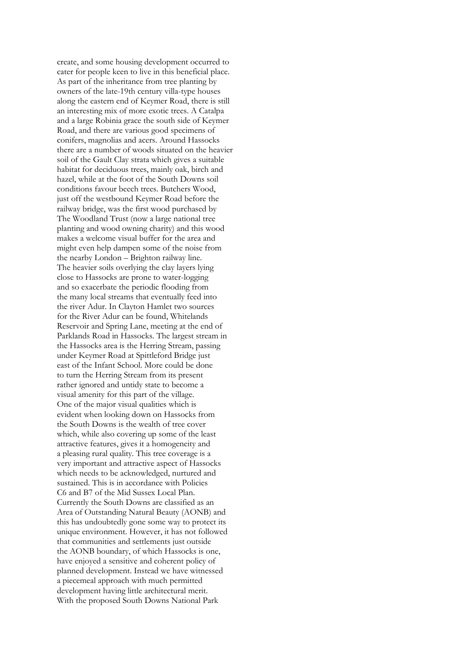create, and some housing development occurred to cater for people keen to live in this beneficial place. As part of the inheritance from tree planting by owners of the late-19th century villa-type houses along the eastern end of Keymer Road, there is still an interesting mix of more exotic trees. A Catalpa and a large Robinia grace the south side of Keymer Road, and there are various good specimens of conifers, magnolias and acers. Around Hassocks there are a number of woods situated on the heavier soil of the Gault Clay strata which gives a suitable habitat for deciduous trees, mainly oak, birch and hazel, while at the foot of the South Downs soil conditions favour beech trees. Butchers Wood, just off the westbound Keymer Road before the railway bridge, was the first wood purchased by The Woodland Trust (now a large national tree planting and wood owning charity) and this wood makes a welcome visual buffer for the area and might even help dampen some of the noise from the nearby London – Brighton railway line. The heavier soils overlying the clay layers lying close to Hassocks are prone to water-logging and so exacerbate the periodic flooding from the many local streams that eventually feed into the river Adur. In Clayton Hamlet two sources for the River Adur can be found, Whitelands Reservoir and Spring Lane, meeting at the end of Parklands Road in Hassocks. The largest stream in the Hassocks area is the Herring Stream, passing under Keymer Road at Spittleford Bridge just east of the Infant School. More could be done to turn the Herring Stream from its present rather ignored and untidy state to become a visual amenity for this part of the village. One of the major visual qualities which is evident when looking down on Hassocks from the South Downs is the wealth of tree cover which, while also covering up some of the least attractive features, gives it a homogeneity and a pleasing rural quality. This tree coverage is a very important and attractive aspect of Hassocks which needs to be acknowledged, nurtured and sustained. This is in accordance with Policies C6 and B7 of the Mid Sussex Local Plan. Currently the South Downs are classified as an Area of Outstanding Natural Beauty (AONB) and this has undoubtedly gone some way to protect its unique environment. However, it has not followed that communities and settlements just outside the AONB boundary, of which Hassocks is one, have enjoyed a sensitive and coherent policy of planned development. Instead we have witnessed a piecemeal approach with much permitted development having little architectural merit. With the proposed South Downs National Park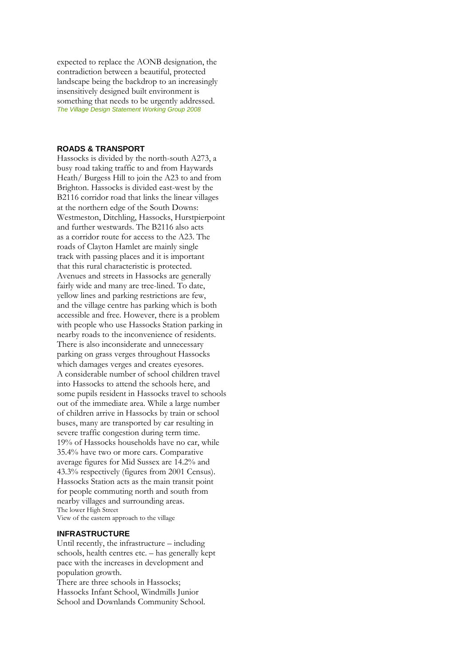expected to replace the AONB designation, the contradiction between a beautiful, protected landscape being the backdrop to an increasingly insensitively designed built environment is something that needs to be urgently addressed. *The Village Design Statement Working Group 2008* 9

#### **ROADS & TRANSPORT**

Hassocks is divided by the north-south A273, a busy road taking traffic to and from Haywards Heath/ Burgess Hill to join the A23 to and from Brighton. Hassocks is divided east-west by the B2116 corridor road that links the linear villages at the northern edge of the South Downs: Westmeston, Ditchling, Hassocks, Hurstpierpoint and further westwards. The B2116 also acts as a corridor route for access to the A23. The roads of Clayton Hamlet are mainly single track with passing places and it is important that this rural characteristic is protected. Avenues and streets in Hassocks are generally fairly wide and many are tree-lined. To date, yellow lines and parking restrictions are few, and the village centre has parking which is both accessible and free. However, there is a problem with people who use Hassocks Station parking in nearby roads to the inconvenience of residents. There is also inconsiderate and unnecessary parking on grass verges throughout Hassocks which damages verges and creates eyesores. A considerable number of school children travel into Hassocks to attend the schools here, and some pupils resident in Hassocks travel to schools out of the immediate area. While a large number of children arrive in Hassocks by train or school buses, many are transported by car resulting in severe traffic congestion during term time. 19% of Hassocks households have no car, while 35.4% have two or more cars. Comparative average figures for Mid Sussex are 14.2% and 43.3% respectively (figures from 2001 Census). Hassocks Station acts as the main transit point for people commuting north and south from nearby villages and surrounding areas. The lower High Street View of the eastern approach to the village

#### **INFRASTRUCTURE**

Until recently, the infrastructure – including schools, health centres etc. – has generally kept pace with the increases in development and population growth.

There are three schools in Hassocks; Hassocks Infant School, Windmills Junior School and Downlands Community School.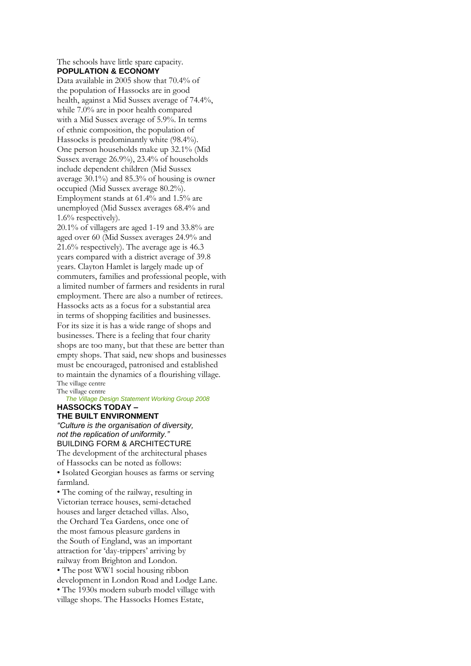#### The schools have little spare capacity. **POPULATION & ECONOMY**

Data available in 2005 show that 70.4% of the population of Hassocks are in good health, against a Mid Sussex average of 74.4%, while 7.0% are in poor health compared with a Mid Sussex average of 5.9%. In terms of ethnic composition, the population of Hassocks is predominantly white (98.4%). One person households make up 32.1% (Mid Sussex average 26.9%), 23.4% of households include dependent children (Mid Sussex average 30.1%) and 85.3% of housing is owner occupied (Mid Sussex average 80.2%). Employment stands at 61.4% and 1.5% are unemployed (Mid Sussex averages 68.4% and 1.6% respectively).

20.1% of villagers are aged 1-19 and 33.8% are aged over 60 (Mid Sussex averages 24.9% and 21.6% respectively). The average age is 46.3 years compared with a district average of 39.8 years. Clayton Hamlet is largely made up of commuters, families and professional people, with a limited number of farmers and residents in rural employment. There are also a number of retirees. Hassocks acts as a focus for a substantial area in terms of shopping facilities and businesses. For its size it is has a wide range of shops and businesses. There is a feeling that four charity shops are too many, but that these are better than empty shops. That said, new shops and businesses must be encouraged, patronised and established to maintain the dynamics of a flourishing village. The village centre The village centre

**The Village Design Statement Working Group 2008 HASSOCKS TODAY –**

### **THE BUILT ENVIRONMENT**

*"Culture is the organisation of diversity, not the replication of uniformity."* BUILDING FORM & ARCHITECTURE The development of the architectural phases of Hassocks can be noted as follows: • Isolated Georgian houses as farms or serving farmland.

• The coming of the railway, resulting in Victorian terrace houses, semi-detached houses and larger detached villas. Also, the Orchard Tea Gardens, once one of the most famous pleasure gardens in the South of England, was an important attraction for 'day-trippers' arriving by railway from Brighton and London. • The post WW1 social housing ribbon development in London Road and Lodge Lane. • The 1930s modern suburb model village with village shops. The Hassocks Homes Estate,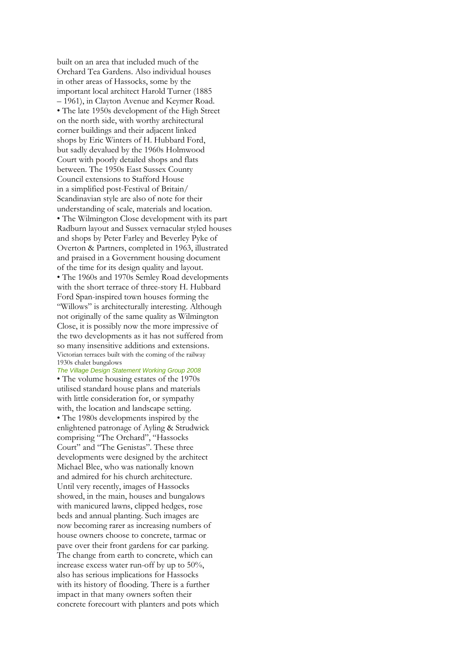built on an area that included much of the Orchard Tea Gardens. Also individual houses in other areas of Hassocks, some by the important local architect Harold Turner (1885 – 1961), in Clayton Avenue and Keymer Road. • The late 1950s development of the High Street on the north side, with worthy architectural corner buildings and their adjacent linked shops by Eric Winters of H. Hubbard Ford, but sadly devalued by the 1960s Holmwood Court with poorly detailed shops and flats between. The 1950s East Sussex County Council extensions to Stafford House in a simplified post-Festival of Britain/ Scandinavian style are also of note for their understanding of scale, materials and location. • The Wilmington Close development with its part Radburn layout and Sussex vernacular styled houses and shops by Peter Farley and Beverley Pyke of Overton & Partners, completed in 1963, illustrated and praised in a Government housing document of the time for its design quality and layout. • The 1960s and 1970s Semley Road developments with the short terrace of three-story H. Hubbard Ford Span-inspired town houses forming the "Willows" is architecturally interesting. Although not originally of the same quality as Wilmington Close, it is possibly now the more impressive of the two developments as it has not suffered from so many insensitive additions and extensions. Victorian terraces built with the coming of the railway 1930s chalet bungalows

**The Village Design Statement Working Group 2008** • The volume housing estates of the 1970s utilised standard house plans and materials with little consideration for, or sympathy with, the location and landscape setting. • The 1980s developments inspired by the enlightened patronage of Ayling & Strudwick comprising "The Orchard", "Hassocks Court" and "The Genistas". These three developments were designed by the architect Michael Blee, who was nationally known and admired for his church architecture. Until very recently, images of Hassocks showed, in the main, houses and bungalows with manicured lawns, clipped hedges, rose beds and annual planting. Such images are now becoming rarer as increasing numbers of house owners choose to concrete, tarmac or pave over their front gardens for car parking. The change from earth to concrete, which can increase excess water run-off by up to 50%, also has serious implications for Hassocks with its history of flooding. There is a further impact in that many owners soften their concrete forecourt with planters and pots which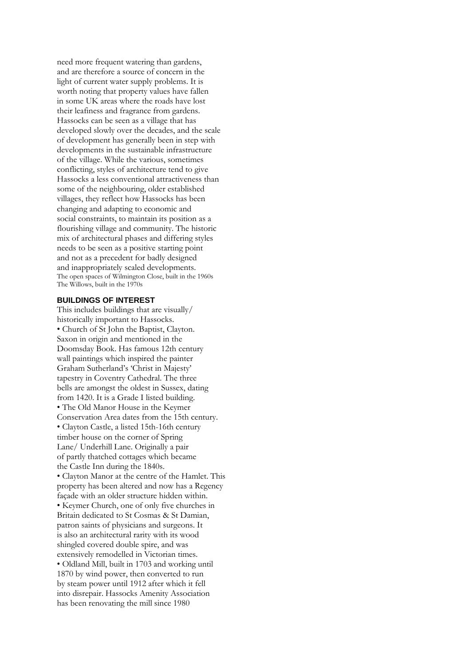need more frequent watering than gardens, and are therefore a source of concern in the light of current water supply problems. It is worth noting that property values have fallen in some UK areas where the roads have lost their leafiness and fragrance from gardens. Hassocks can be seen as a village that has developed slowly over the decades, and the scale of development has generally been in step with developments in the sustainable infrastructure of the village. While the various, sometimes conflicting, styles of architecture tend to give Hassocks a less conventional attractiveness than some of the neighbouring, older established villages, they reflect how Hassocks has been changing and adapting to economic and social constraints, to maintain its position as a flourishing village and community. The historic mix of architectural phases and differing styles needs to be seen as a positive starting point and not as a precedent for badly designed and inappropriately scaled developments. The open spaces of Wilmington Close, built in the 1960s The Willows, built in the 1970s

#### **BUILDINGS OF INTEREST**

This includes buildings that are visually/ historically important to Hassocks. • Church of St John the Baptist, Clayton. Saxon in origin and mentioned in the Doomsday Book. Has famous 12th century wall paintings which inspired the painter Graham Sutherland's 'Christ in Majesty' tapestry in Coventry Cathedral. The three bells are amongst the oldest in Sussex, dating from 1420. It is a Grade I listed building. • The Old Manor House in the Keymer Conservation Area dates from the 15th century. • Clayton Castle, a listed 15th-16th century timber house on the corner of Spring Lane/ Underhill Lane. Originally a pair of partly thatched cottages which became the Castle Inn during the 1840s. • Clayton Manor at the centre of the Hamlet. This property has been altered and now has a Regency façade with an older structure hidden within. • Keymer Church, one of only five churches in Britain dedicated to St Cosmas & St Damian, patron saints of physicians and surgeons. It is also an architectural rarity with its wood shingled covered double spire, and was extensively remodelled in Victorian times. • Oldland Mill, built in 1703 and working until 1870 by wind power, then converted to run by steam power until 1912 after which it fell into disrepair. Hassocks Amenity Association has been renovating the mill since 1980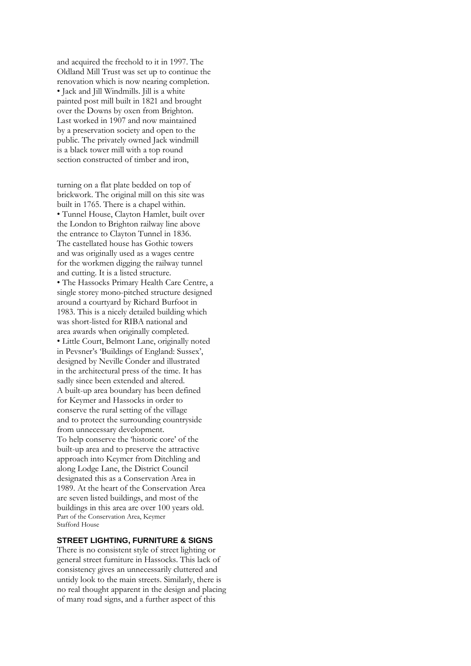and acquired the freehold to it in 1997. The Oldland Mill Trust was set up to continue the renovation which is now nearing completion. • Jack and Jill Windmills. Jill is a white painted post mill built in 1821 and brought over the Downs by oxen from Brighton. Last worked in 1907 and now maintained by a preservation society and open to the public. The privately owned Jack windmill is a black tower mill with a top round section constructed of timber and iron,

turning on a flat plate bedded on top of brickwork. The original mill on this site was built in 1765. There is a chapel within. • Tunnel House, Clayton Hamlet, built over the London to Brighton railway line above the entrance to Clayton Tunnel in 1836. The castellated house has Gothic towers and was originally used as a wages centre for the workmen digging the railway tunnel and cutting. It is a listed structure. • The Hassocks Primary Health Care Centre, a single storey mono-pitched structure designed around a courtyard by Richard Burfoot in 1983. This is a nicely detailed building which was short-listed for RIBA national and area awards when originally completed. • Little Court, Belmont Lane, originally noted in Pevsner's 'Buildings of England: Sussex', designed by Neville Conder and illustrated in the architectural press of the time. It has sadly since been extended and altered. A built-up area boundary has been defined for Keymer and Hassocks in order to conserve the rural setting of the village and to protect the surrounding countryside from unnecessary development. To help conserve the 'historic core' of the built-up area and to preserve the attractive approach into Keymer from Ditchling and along Lodge Lane, the District Council designated this as a Conservation Area in 1989. At the heart of the Conservation Area are seven listed buildings, and most of the buildings in this area are over 100 years old. Part of the Conservation Area, Keymer Stafford House

#### **STREET LIGHTING, FURNITURE & SIGNS**

There is no consistent style of street lighting or general street furniture in Hassocks. This lack of consistency gives an unnecessarily cluttered and untidy look to the main streets. Similarly, there is no real thought apparent in the design and placing of many road signs, and a further aspect of this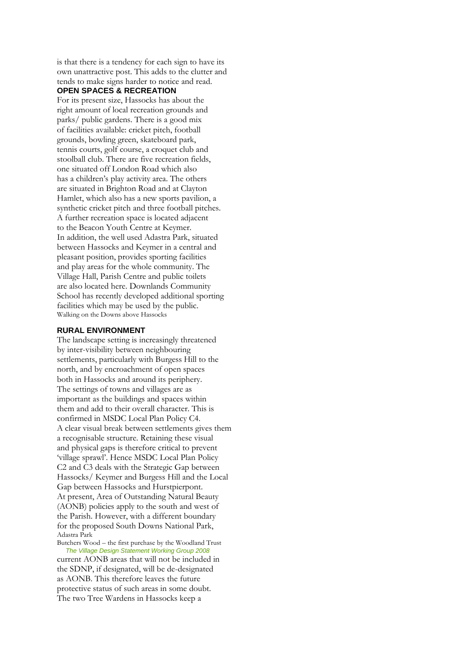is that there is a tendency for each sign to have its own unattractive post. This adds to the clutter and tends to make signs harder to notice and read.

#### **OPEN SPACES & RECREATION**

For its present size, Hassocks has about the right amount of local recreation grounds and parks/ public gardens. There is a good mix of facilities available: cricket pitch, football grounds, bowling green, skateboard park, tennis courts, golf course, a croquet club and stoolball club. There are five recreation fields, one situated off London Road which also has a children's play activity area. The others are situated in Brighton Road and at Clayton Hamlet, which also has a new sports pavilion, a synthetic cricket pitch and three football pitches. A further recreation space is located adjacent to the Beacon Youth Centre at Keymer. In addition, the well used Adastra Park, situated between Hassocks and Keymer in a central and pleasant position, provides sporting facilities and play areas for the whole community. The Village Hall, Parish Centre and public toilets are also located here. Downlands Community School has recently developed additional sporting facilities which may be used by the public. Walking on the Downs above Hassocks

#### **RURAL ENVIRONMENT**

The landscape setting is increasingly threatened by inter-visibility between neighbouring settlements, particularly with Burgess Hill to the north, and by encroachment of open spaces both in Hassocks and around its periphery. The settings of towns and villages are as important as the buildings and spaces within them and add to their overall character. This is confirmed in MSDC Local Plan Policy C4. A clear visual break between settlements gives them a recognisable structure. Retaining these visual and physical gaps is therefore critical to prevent 'village sprawl'. Hence MSDC Local Plan Policy C2 and C3 deals with the Strategic Gap between Hassocks/ Keymer and Burgess Hill and the Local Gap between Hassocks and Hurstpierpont. At present, Area of Outstanding Natural Beauty (AONB) policies apply to the south and west of the Parish. However, with a different boundary for the proposed South Downs National Park, Adastra Park Butchers Wood – the first purchase by the Woodland Trust

**The Village Design Statement Working Group 2008** current AONB areas that will not be included in the SDNP, if designated, will be de-designated as AONB. This therefore leaves the future protective status of such areas in some doubt. The two Tree Wardens in Hassocks keep a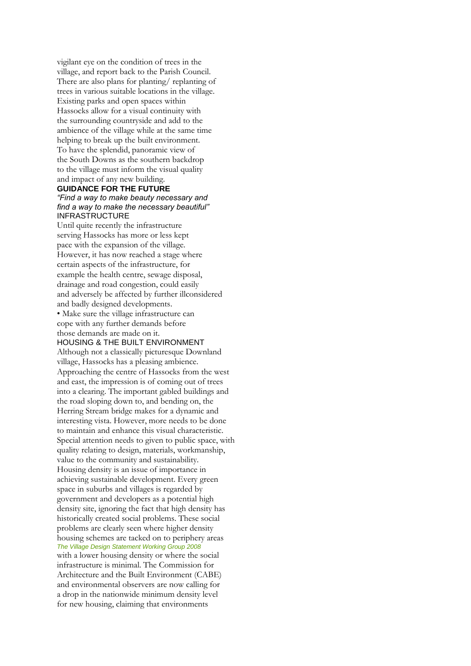vigilant eye on the condition of trees in the village, and report back to the Parish Council. There are also plans for planting/ replanting of trees in various suitable locations in the village. Existing parks and open spaces within Hassocks allow for a visual continuity with the surrounding countryside and add to the ambience of the village while at the same time helping to break up the built environment. To have the splendid, panoramic view of the South Downs as the southern backdrop to the village must inform the visual quality and impact of any new building.

#### **GUIDANCE FOR THE FUTURE** *"Find a way to make beauty necessary and find a way to make the necessary beautiful"* INFRASTRUCTURE

Until quite recently the infrastructure serving Hassocks has more or less kept pace with the expansion of the village. However, it has now reached a stage where certain aspects of the infrastructure, for example the health centre, sewage disposal, drainage and road congestion, could easily and adversely be affected by further illconsidered and badly designed developments.

• Make sure the village infrastructure can cope with any further demands before those demands are made on it.

#### HOUSING & THE BUILT ENVIRONMENT

Although not a classically picturesque Downland village, Hassocks has a pleasing ambience. Approaching the centre of Hassocks from the west and east, the impression is of coming out of trees into a clearing. The important gabled buildings and the road sloping down to, and bending on, the Herring Stream bridge makes for a dynamic and interesting vista. However, more needs to be done to maintain and enhance this visual characteristic. Special attention needs to given to public space, with quality relating to design, materials, workmanship, value to the community and sustainability. Housing density is an issue of importance in achieving sustainable development. Every green space in suburbs and villages is regarded by government and developers as a potential high density site, ignoring the fact that high density has historically created social problems. These social problems are clearly seen where higher density housing schemes are tacked on to periphery areas **The Village Design Statement Working Group 2008** with a lower housing density or where the social infrastructure is minimal. The Commission for Architecture and the Built Environment (CABE) and environmental observers are now calling for a drop in the nationwide minimum density level for new housing, claiming that environments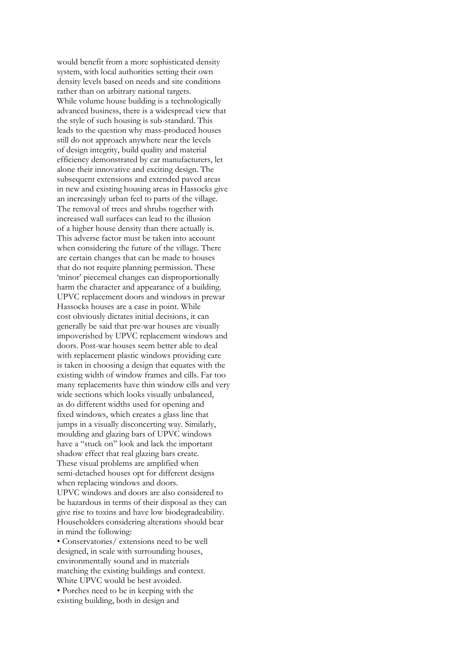would benefit from a more sophisticated density system, with local authorities setting their own density levels based on needs and site conditions rather than on arbitrary national targets. While volume house building is a technologically advanced business, there is a widespread view that the style of such housing is sub-standard. This leads to the question why mass-produced houses still do not approach anywhere near the levels of design integrity, build quality and material efficiency demonstrated by car manufacturers, let alone their innovative and exciting design. The subsequent extensions and extended paved areas in new and existing housing areas in Hassocks give an increasingly urban feel to parts of the village. The removal of trees and shrubs together with increased wall surfaces can lead to the illusion of a higher house density than there actually is. This adverse factor must be taken into account when considering the future of the village. There are certain changes that can be made to houses that do not require planning permission. These 'minor' piecemeal changes can disproportionally harm the character and appearance of a building. UPVC replacement doors and windows in prewar Hassocks houses are a case in point. While cost obviously dictates initial decisions, it can generally be said that pre-war houses are visually impoverished by UPVC replacement windows and doors. Post-war houses seem better able to deal with replacement plastic windows providing care is taken in choosing a design that equates with the existing width of window frames and cills. Far too many replacements have thin window cills and very wide sections which looks visually unbalanced, as do different widths used for opening and fixed windows, which creates a glass line that jumps in a visually disconcerting way. Similarly, moulding and glazing bars of UPVC windows have a "stuck on" look and lack the important shadow effect that real glazing bars create. These visual problems are amplified when semi-detached houses opt for different designs when replacing windows and doors. UPVC windows and doors are also considered to be hazardous in terms of their disposal as they can give rise to toxins and have low biodegradeability. Householders considering alterations should bear in mind the following: • Conservatories/ extensions need to be well

designed, in scale with surrounding houses, environmentally sound and in materials matching the existing buildings and context. White UPVC would be best avoided. • Porches need to be in keeping with the existing building, both in design and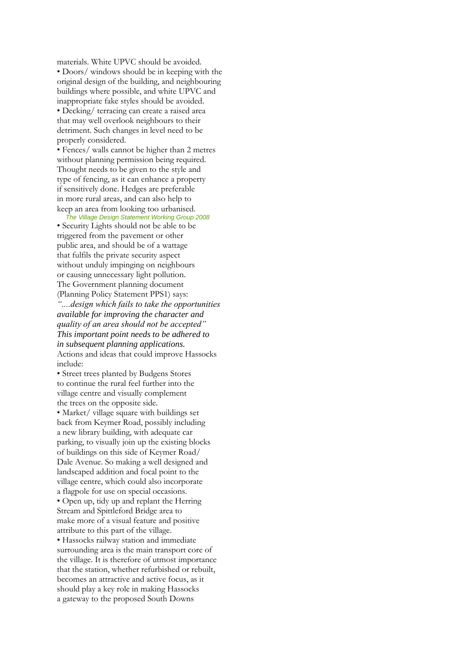materials. White UPVC should be avoided. • Doors/ windows should be in keeping with the original design of the building, and neighbouring buildings where possible, and white UPVC and inappropriate fake styles should be avoided. • Decking/ terracing can create a raised area that may well overlook neighbours to their detriment. Such changes in level need to be properly considered.

• Fences/ walls cannot be higher than 2 metres without planning permission being required. Thought needs to be given to the style and type of fencing, as it can enhance a property if sensitively done. Hedges are preferable in more rural areas, and can also help to keep an area from looking too urbanised.

20 *The Village Design Statement Working Group 2008* • Security Lights should not be able to be triggered from the pavement or other public area, and should be of a wattage that fulfils the private security aspect without unduly impinging on neighbours or causing unnecessary light pollution. The Government planning document (Planning Policy Statement PPS1) says:

*"....design which fails to take the opportunities available for improving the character and quality of an area should not be accepted" This important point needs to be adhered to in subsequent planning applications.* Actions and ideas that could improve Hassocks include:

• Street trees planted by Budgens Stores to continue the rural feel further into the village centre and visually complement the trees on the opposite side.

• Market/ village square with buildings set back from Keymer Road, possibly including a new library building, with adequate car parking, to visually join up the existing blocks of buildings on this side of Keymer Road/ Dale Avenue. So making a well designed and landscaped addition and focal point to the village centre, which could also incorporate a flagpole for use on special occasions. • Open up, tidy up and replant the Herring Stream and Spittleford Bridge area to

make more of a visual feature and positive attribute to this part of the village. • Hassocks railway station and immediate

surrounding area is the main transport core of the village. It is therefore of utmost importance that the station, whether refurbished or rebuilt, becomes an attractive and active focus, as it should play a key role in making Hassocks a gateway to the proposed South Downs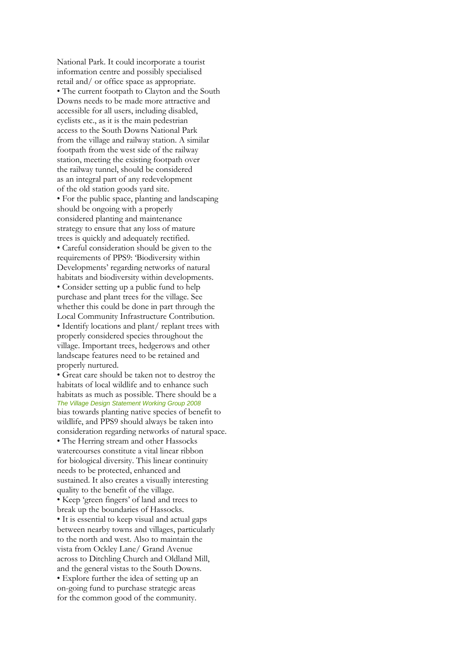National Park. It could incorporate a tourist information centre and possibly specialised retail and/ or office space as appropriate. • The current footpath to Clayton and the South Downs needs to be made more attractive and accessible for all users, including disabled, cyclists etc., as it is the main pedestrian access to the South Downs National Park from the village and railway station. A similar footpath from the west side of the railway station, meeting the existing footpath over the railway tunnel, should be considered as an integral part of any redevelopment of the old station goods yard site. • For the public space, planting and landscaping should be ongoing with a properly considered planting and maintenance strategy to ensure that any loss of mature trees is quickly and adequately rectified. • Careful consideration should be given to the requirements of PPS9: 'Biodiversity within Developments' regarding networks of natural habitats and biodiversity within developments. • Consider setting up a public fund to help purchase and plant trees for the village. See whether this could be done in part through the Local Community Infrastructure Contribution. • Identify locations and plant/ replant trees with properly considered species throughout the village. Important trees, hedgerows and other landscape features need to be retained and properly nurtured.

• Great care should be taken not to destroy the habitats of local wildlife and to enhance such habitats as much as possible. There should be a **The Village Design Statement Working Group 2008** bias towards planting native species of benefit to wildlife, and PPS9 should always be taken into consideration regarding networks of natural space. • The Herring stream and other Hassocks watercourses constitute a vital linear ribbon for biological diversity. This linear continuity needs to be protected, enhanced and sustained. It also creates a visually interesting quality to the benefit of the village. • Keep 'green fingers' of land and trees to break up the boundaries of Hassocks. • It is essential to keep visual and actual gaps between nearby towns and villages, particularly to the north and west. Also to maintain the vista from Ockley Lane/ Grand Avenue across to Ditchling Church and Oldland Mill, and the general vistas to the South Downs. • Explore further the idea of setting up an on-going fund to purchase strategic areas for the common good of the community.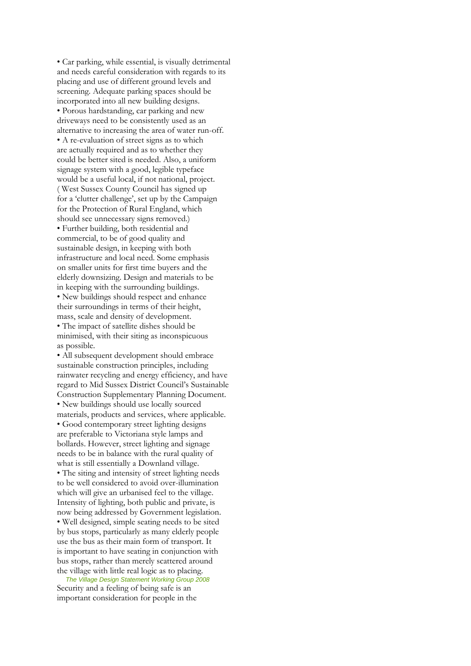• Car parking, while essential, is visually detrimental and needs careful consideration with regards to its placing and use of different ground levels and screening. Adequate parking spaces should be incorporated into all new building designs. • Porous hardstanding, car parking and new driveways need to be consistently used as an alternative to increasing the area of water run-off. • A re-evaluation of street signs as to which are actually required and as to whether they could be better sited is needed. Also, a uniform signage system with a good, legible typeface would be a useful local, if not national, project. ( West Sussex County Council has signed up for a 'clutter challenge', set up by the Campaign for the Protection of Rural England, which should see unnecessary signs removed.) • Further building, both residential and commercial, to be of good quality and sustainable design, in keeping with both infrastructure and local need. Some emphasis on smaller units for first time buyers and the elderly downsizing. Design and materials to be in keeping with the surrounding buildings. • New buildings should respect and enhance their surroundings in terms of their height, mass, scale and density of development. • The impact of satellite dishes should be minimised, with their siting as inconspicuous as possible.

• All subsequent development should embrace sustainable construction principles, including rainwater recycling and energy efficiency, and have regard to Mid Sussex District Council's Sustainable Construction Supplementary Planning Document. • New buildings should use locally sourced materials, products and services, where applicable. • Good contemporary street lighting designs are preferable to Victoriana style lamps and bollards. However, street lighting and signage needs to be in balance with the rural quality of what is still essentially a Downland village. • The siting and intensity of street lighting needs to be well considered to avoid over-illumination which will give an urbanised feel to the village. Intensity of lighting, both public and private, is now being addressed by Government legislation. • Well designed, simple seating needs to be sited by bus stops, particularly as many elderly people use the bus as their main form of transport. It is important to have seating in conjunction with bus stops, rather than merely scattered around the village with little real logic as to placing.

22 *The Village Design Statement Working Group 2008* Security and a feeling of being safe is an important consideration for people in the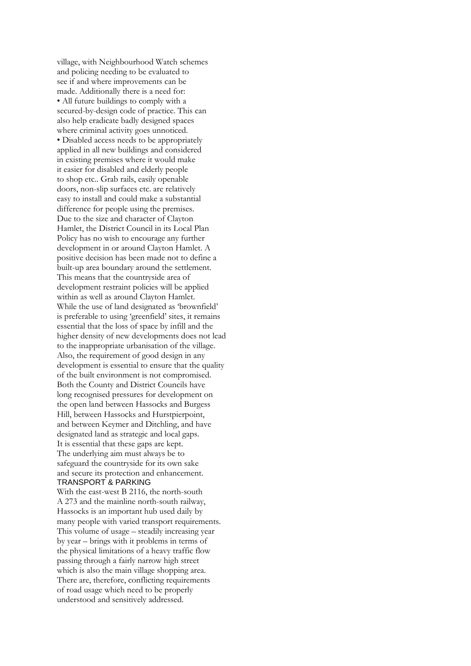village, with Neighbourhood Watch schemes and policing needing to be evaluated to see if and where improvements can be made. Additionally there is a need for: • All future buildings to comply with a secured-by-design code of practice. This can also help eradicate badly designed spaces where criminal activity goes unnoticed. • Disabled access needs to be appropriately applied in all new buildings and considered in existing premises where it would make it easier for disabled and elderly people to shop etc.. Grab rails, easily openable doors, non-slip surfaces etc. are relatively easy to install and could make a substantial difference for people using the premises. Due to the size and character of Clayton Hamlet, the District Council in its Local Plan Policy has no wish to encourage any further development in or around Clayton Hamlet. A positive decision has been made not to define a built-up area boundary around the settlement. This means that the countryside area of development restraint policies will be applied within as well as around Clayton Hamlet. While the use of land designated as 'brownfield' is preferable to using 'greenfield' sites, it remains essential that the loss of space by infill and the higher density of new developments does not lead to the inappropriate urbanisation of the village. Also, the requirement of good design in any development is essential to ensure that the quality of the built environment is not compromised. Both the County and District Councils have long recognised pressures for development on the open land between Hassocks and Burgess Hill, between Hassocks and Hurstpierpoint, and between Keymer and Ditchling, and have designated land as strategic and local gaps. It is essential that these gaps are kept. The underlying aim must always be to safeguard the countryside for its own sake and secure its protection and enhancement. TRANSPORT & PARKING

With the east-west B 2116, the north-south A 273 and the mainline north-south railway, Hassocks is an important hub used daily by many people with varied transport requirements. This volume of usage – steadily increasing year by year – brings with it problems in terms of the physical limitations of a heavy traffic flow passing through a fairly narrow high street which is also the main village shopping area. There are, therefore, conflicting requirements of road usage which need to be properly understood and sensitively addressed.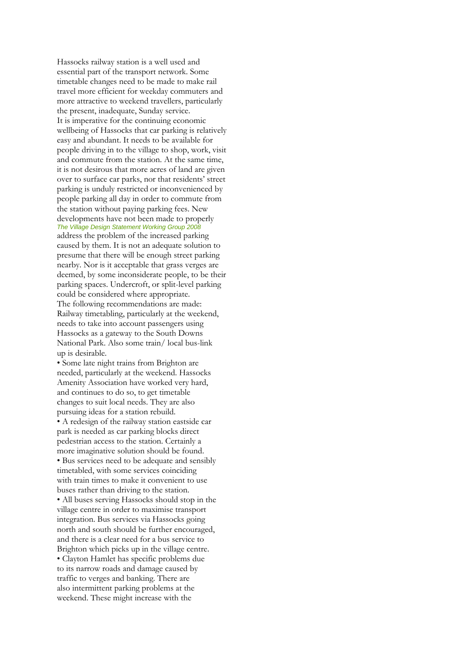Hassocks railway station is a well used and essential part of the transport network. Some timetable changes need to be made to make rail travel more efficient for weekday commuters and more attractive to weekend travellers, particularly the present, inadequate, Sunday service. It is imperative for the continuing economic wellbeing of Hassocks that car parking is relatively easy and abundant. It needs to be available for people driving in to the village to shop, work, visit and commute from the station. At the same time, it is not desirous that more acres of land are given over to surface car parks, nor that residents' street parking is unduly restricted or inconvenienced by people parking all day in order to commute from the station without paying parking fees. New developments have not been made to properly **The Village Design Statement Working Group 2008** address the problem of the increased parking caused by them. It is not an adequate solution to presume that there will be enough street parking nearby. Nor is it acceptable that grass verges are deemed, by some inconsiderate people, to be their parking spaces. Undercroft, or split-level parking could be considered where appropriate. The following recommendations are made: Railway timetabling, particularly at the weekend, needs to take into account passengers using Hassocks as a gateway to the South Downs National Park. Also some train/ local bus-link up is desirable.

• Some late night trains from Brighton are needed, particularly at the weekend. Hassocks Amenity Association have worked very hard, and continues to do so, to get timetable changes to suit local needs. They are also pursuing ideas for a station rebuild. • A redesign of the railway station eastside car park is needed as car parking blocks direct pedestrian access to the station. Certainly a more imaginative solution should be found. • Bus services need to be adequate and sensibly timetabled, with some services coinciding with train times to make it convenient to use buses rather than driving to the station. • All buses serving Hassocks should stop in the village centre in order to maximise transport integration. Bus services via Hassocks going north and south should be further encouraged, and there is a clear need for a bus service to Brighton which picks up in the village centre. • Clayton Hamlet has specific problems due to its narrow roads and damage caused by traffic to verges and banking. There are also intermittent parking problems at the weekend. These might increase with the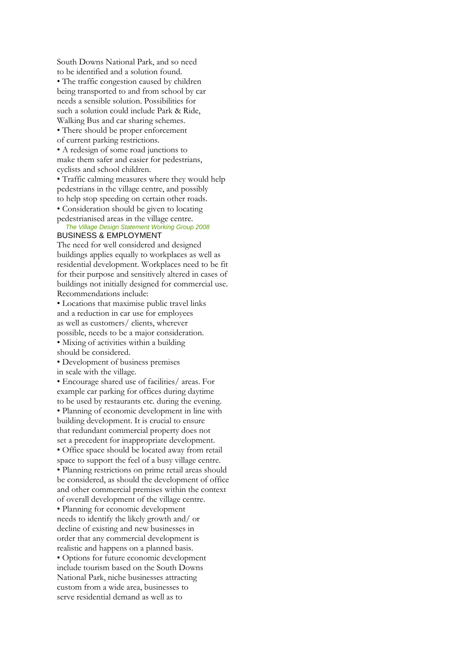South Downs National Park, and so need to be identified and a solution found. • The traffic congestion caused by children being transported to and from school by car needs a sensible solution. Possibilities for such a solution could include Park & Ride, Walking Bus and car sharing schemes.

• There should be proper enforcement of current parking restrictions.

• A redesign of some road junctions to make them safer and easier for pedestrians, cyclists and school children.

• Traffic calming measures where they would help pedestrians in the village centre, and possibly to help stop speeding on certain other roads. • Consideration should be given to locating

pedestrianised areas in the village centre. 24 *The Village Design Statement Working Group 2008*

#### BUSINESS & EMPLOYMENT

The need for well considered and designed buildings applies equally to workplaces as well as residential development. Workplaces need to be fit for their purpose and sensitively altered in cases of buildings not initially designed for commercial use. Recommendations include:

• Locations that maximise public travel links and a reduction in car use for employees as well as customers/ clients, wherever possible, needs to be a major consideration. • Mixing of activities within a building should be considered.

• Development of business premises

in scale with the village.

• Encourage shared use of facilities/ areas. For example car parking for offices during daytime to be used by restaurants etc. during the evening. • Planning of economic development in line with building development. It is crucial to ensure that redundant commercial property does not set a precedent for inappropriate development. • Office space should be located away from retail space to support the feel of a busy village centre. • Planning restrictions on prime retail areas should be considered, as should the development of office and other commercial premises within the context of overall development of the village centre. • Planning for economic development needs to identify the likely growth and/ or decline of existing and new businesses in order that any commercial development is realistic and happens on a planned basis. • Options for future economic development include tourism based on the South Downs National Park, niche businesses attracting custom from a wide area, businesses to serve residential demand as well as to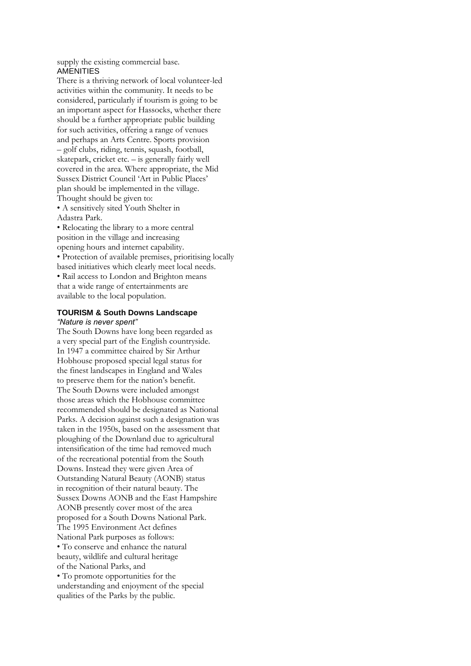supply the existing commercial base. AMENITIES

There is a thriving network of local volunteer-led activities within the community. It needs to be considered, particularly if tourism is going to be an important aspect for Hassocks, whether there should be a further appropriate public building for such activities, offering a range of venues and perhaps an Arts Centre. Sports provision – golf clubs, riding, tennis, squash, football, skatepark, cricket etc. – is generally fairly well covered in the area. Where appropriate, the Mid Sussex District Council 'Art in Public Places' plan should be implemented in the village. Thought should be given to:

• A sensitively sited Youth Shelter in Adastra Park.

• Relocating the library to a more central position in the village and increasing opening hours and internet capability. • Protection of available premises, prioritising locally based initiatives which clearly meet local needs. • Rail access to London and Brighton means that a wide range of entertainments are available to the local population.

#### **TOURISM & South Downs Landscape** *"Nature is never spent"*

The South Downs have long been regarded as a very special part of the English countryside. In 1947 a committee chaired by Sir Arthur Hobhouse proposed special legal status for the finest landscapes in England and Wales to preserve them for the nation's benefit. The South Downs were included amongst those areas which the Hobhouse committee recommended should be designated as National Parks. A decision against such a designation was taken in the 1950s, based on the assessment that ploughing of the Downland due to agricultural intensification of the time had removed much of the recreational potential from the South Downs. Instead they were given Area of Outstanding Natural Beauty (AONB) status in recognition of their natural beauty. The Sussex Downs AONB and the East Hampshire AONB presently cover most of the area proposed for a South Downs National Park. The 1995 Environment Act defines National Park purposes as follows: • To conserve and enhance the natural beauty, wildlife and cultural heritage of the National Parks, and • To promote opportunities for the understanding and enjoyment of the special qualities of the Parks by the public.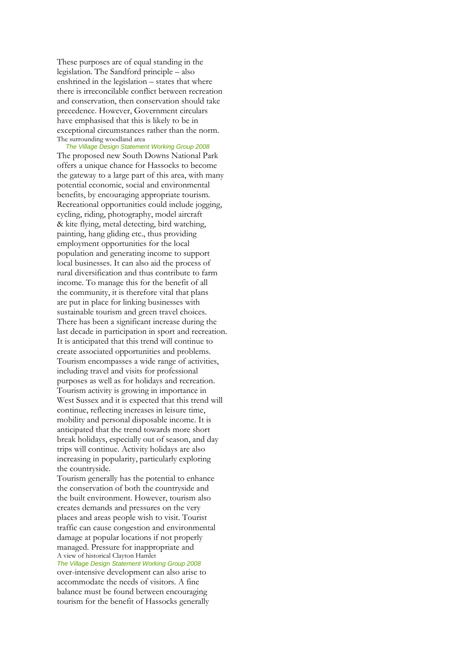These purposes are of equal standing in the legislation. The Sandford principle – also enshrined in the legislation – states that where there is irreconcilable conflict between recreation and conservation, then conservation should take precedence. However, Government circulars have emphasised that this is likely to be in exceptional circumstances rather than the norm. The surrounding woodland area

26 *The Village Design Statement Working Group 2008* The proposed new South Downs National Park offers a unique chance for Hassocks to become the gateway to a large part of this area, with many potential economic, social and environmental benefits, by encouraging appropriate tourism. Recreational opportunities could include jogging, cycling, riding, photography, model aircraft & kite flying, metal detecting, bird watching, painting, hang gliding etc., thus providing employment opportunities for the local population and generating income to support local businesses. It can also aid the process of rural diversification and thus contribute to farm income. To manage this for the benefit of all the community, it is therefore vital that plans are put in place for linking businesses with sustainable tourism and green travel choices. There has been a significant increase during the last decade in participation in sport and recreation. It is anticipated that this trend will continue to create associated opportunities and problems. Tourism encompasses a wide range of activities, including travel and visits for professional purposes as well as for holidays and recreation. Tourism activity is growing in importance in West Sussex and it is expected that this trend will continue, reflecting increases in leisure time, mobility and personal disposable income. It is anticipated that the trend towards more short break holidays, especially out of season, and day trips will continue. Activity holidays are also increasing in popularity, particularly exploring the countryside.

Tourism generally has the potential to enhance the conservation of both the countryside and the built environment. However, tourism also creates demands and pressures on the very places and areas people wish to visit. Tourist traffic can cause congestion and environmental damage at popular locations if not properly managed. Pressure for inappropriate and A view of historical Clayton Hamlet

**The Village Design Statement Working Group 2008** over-intensive development can also arise to accommodate the needs of visitors. A fine balance must be found between encouraging tourism for the benefit of Hassocks generally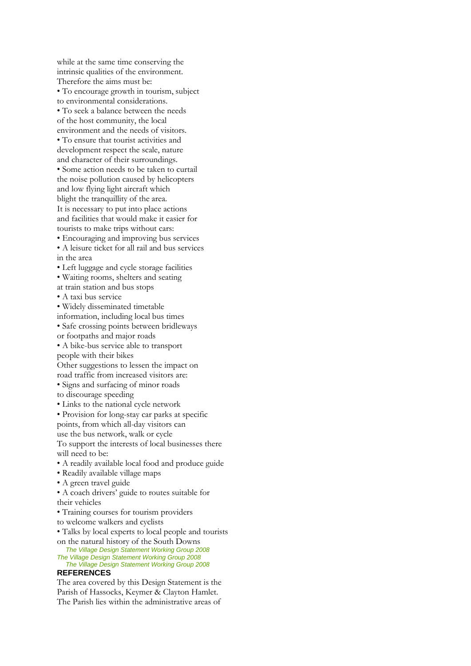while at the same time conserving the intrinsic qualities of the environment. Therefore the aims must be: • To encourage growth in tourism, subject to environmental considerations. • To seek a balance between the needs of the host community, the local environment and the needs of visitors. • To ensure that tourist activities and development respect the scale, nature and character of their surroundings. • Some action needs to be taken to curtail the noise pollution caused by helicopters and low flying light aircraft which blight the tranquillity of the area. It is necessary to put into place actions and facilities that would make it easier for tourists to make trips without cars: • Encouraging and improving bus services

• A leisure ticket for all rail and bus services

in the area

• Left luggage and cycle storage facilities

• Waiting rooms, shelters and seating

at train station and bus stops

• A taxi bus service

• Widely disseminated timetable

information, including local bus times

• Safe crossing points between bridleways

or footpaths and major roads

• A bike-bus service able to transport people with their bikes

Other suggestions to lessen the impact on road traffic from increased visitors are: • Signs and surfacing of minor roads to discourage speeding

• Links to the national cycle network

• Provision for long-stay car parks at specific points, from which all-day visitors can

use the bus network, walk or cycle

To support the interests of local businesses there will need to be:

• A readily available local food and produce guide

- Readily available village maps
- A green travel guide

• A coach drivers' guide to routes suitable for their vehicles

• Training courses for tourism providers

to welcome walkers and cyclists

• Talks by local experts to local people and tourists on the natural history of the South Downs

28 *The Village Design Statement Working Group 2008* **The Village Design Statement Working Group 2008** 

30 *The Village Design Statement Working Group 2008* **REFERENCES**

The area covered by this Design Statement is the Parish of Hassocks, Keymer & Clayton Hamlet. The Parish lies within the administrative areas of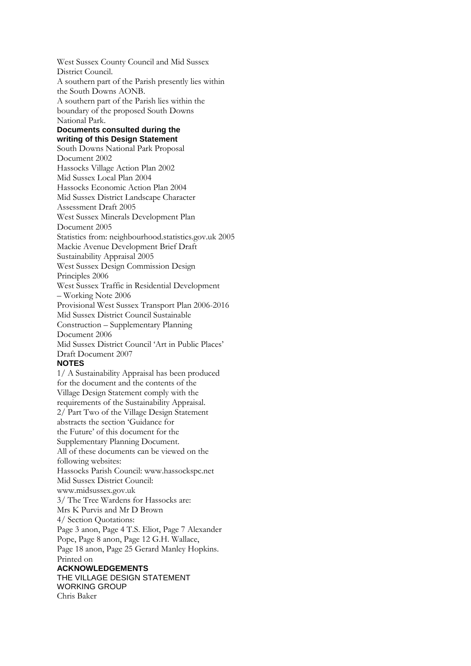West Sussex County Council and Mid Sussex District Council. A southern part of the Parish presently lies within the South Downs AONB. A southern part of the Parish lies within the boundary of the proposed South Downs National Park. **Documents consulted during the writing of this Design Statement** South Downs National Park Proposal Document 2002 Hassocks Village Action Plan 2002 Mid Sussex Local Plan 2004 Hassocks Economic Action Plan 2004 Mid Sussex District Landscape Character Assessment Draft 2005 West Sussex Minerals Development Plan Document 2005 Statistics from: neighbourhood.statistics.gov.uk 2005 Mackie Avenue Development Brief Draft Sustainability Appraisal 2005 West Sussex Design Commission Design Principles 2006 West Sussex Traffic in Residential Development – Working Note 2006 Provisional West Sussex Transport Plan 2006-2016 Mid Sussex District Council Sustainable Construction – Supplementary Planning Document 2006 Mid Sussex District Council 'Art in Public Places' Draft Document 2007 **NOTES** 1/ A Sustainability Appraisal has been produced for the document and the contents of the Village Design Statement comply with the requirements of the Sustainability Appraisal. 2/ Part Two of the Village Design Statement abstracts the section 'Guidance for the Future' of this document for the Supplementary Planning Document. All of these documents can be viewed on the following websites: Hassocks Parish Council: www.hassockspc.net Mid Sussex District Council: www.midsussex.gov.uk 3/ The Tree Wardens for Hassocks are: Mrs K Purvis and Mr D Brown 4/ Section Quotations: Page 3 anon, Page 4 T.S. Eliot, Page 7 Alexander Pope, Page 8 anon, Page 12 G.H. Wallace, Page 18 anon, Page 25 Gerard Manley Hopkins. Printed on **ACKNOWLEDGEMENTS** THE VILLAGE DESIGN STATEMENT WORKING GROUP

Chris Baker